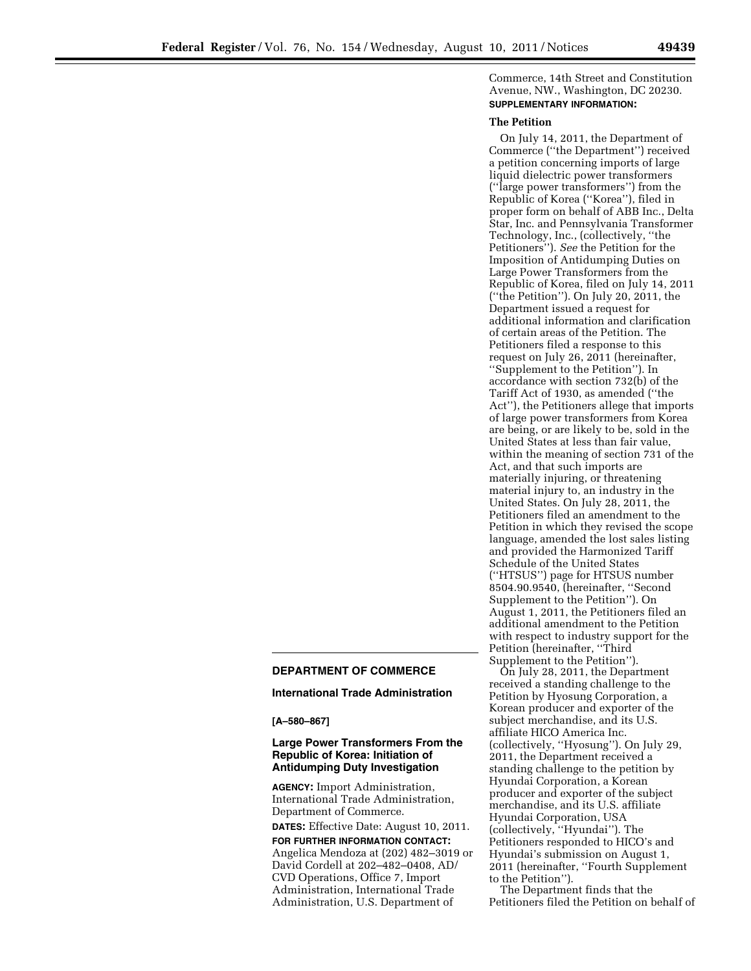Commerce, 14th Street and Constitution Avenue, NW., Washington, DC 20230. **SUPPLEMENTARY INFORMATION:** 

#### **The Petition**

On July 14, 2011, the Department of Commerce (''the Department'') received a petition concerning imports of large liquid dielectric power transformers (''large power transformers'') from the Republic of Korea (''Korea''), filed in proper form on behalf of ABB Inc., Delta Star, Inc. and Pennsylvania Transformer Technology, Inc., (collectively, ''the Petitioners''). *See* the Petition for the Imposition of Antidumping Duties on Large Power Transformers from the Republic of Korea, filed on July 14, 2011 (''the Petition''). On July 20, 2011, the Department issued a request for additional information and clarification of certain areas of the Petition. The Petitioners filed a response to this request on July 26, 2011 (hereinafter, ''Supplement to the Petition''). In accordance with section 732(b) of the Tariff Act of 1930, as amended (''the Act''), the Petitioners allege that imports of large power transformers from Korea are being, or are likely to be, sold in the United States at less than fair value, within the meaning of section 731 of the Act, and that such imports are materially injuring, or threatening material injury to, an industry in the United States. On July 28, 2011, the Petitioners filed an amendment to the Petition in which they revised the scope language, amended the lost sales listing and provided the Harmonized Tariff Schedule of the United States (''HTSUS'') page for HTSUS number 8504.90.9540, (hereinafter, ''Second Supplement to the Petition''). On August 1, 2011, the Petitioners filed an additional amendment to the Petition with respect to industry support for the Petition (hereinafter, ''Third Supplement to the Petition'').

# **DEPARTMENT OF COMMERCE**

## **International Trade Administration**

**[A–580–867]** 

## **Large Power Transformers From the Republic of Korea: Initiation of Antidumping Duty Investigation**

**AGENCY:** Import Administration, International Trade Administration, Department of Commerce.

**DATES:** Effective Date: August 10, 2011. **FOR FURTHER INFORMATION CONTACT:**  Angelica Mendoza at (202) 482–3019 or David Cordell at 202–482–0408, AD/ CVD Operations, Office 7, Import Administration, International Trade Administration, U.S. Department of

On July 28, 2011, the Department received a standing challenge to the Petition by Hyosung Corporation, a Korean producer and exporter of the subject merchandise, and its U.S. affiliate HICO America Inc. (collectively, ''Hyosung''). On July 29, 2011, the Department received a standing challenge to the petition by Hyundai Corporation, a Korean producer and exporter of the subject merchandise, and its U.S. affiliate Hyundai Corporation, USA (collectively, ''Hyundai''). The Petitioners responded to HICO's and Hyundai's submission on August 1, 2011 (hereinafter, ''Fourth Supplement to the Petition'').

The Department finds that the Petitioners filed the Petition on behalf of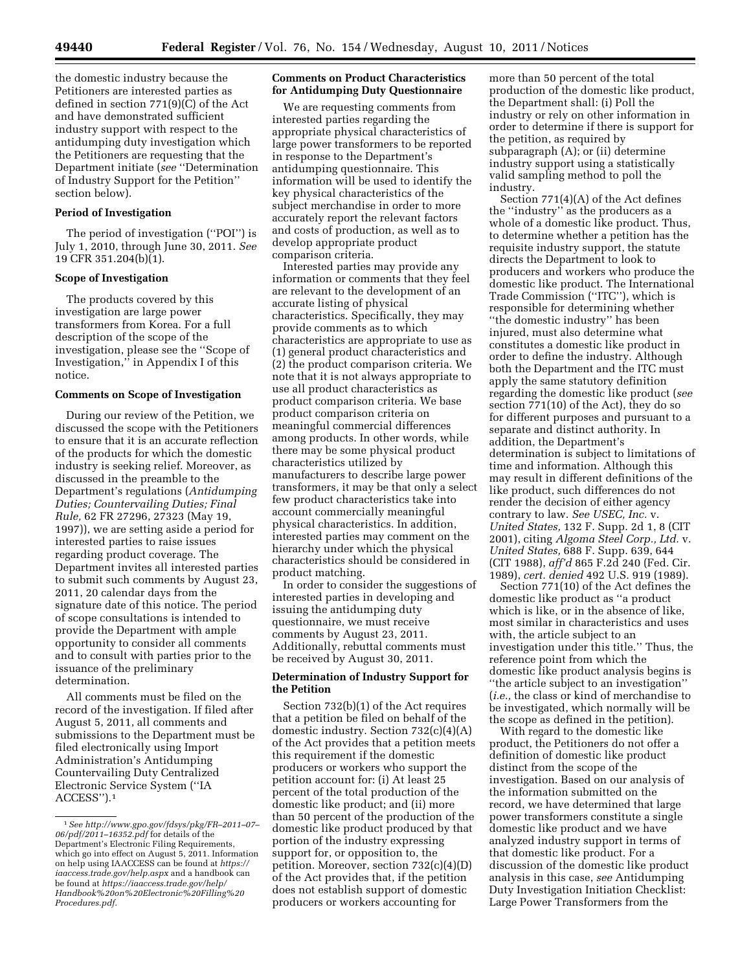the domestic industry because the Petitioners are interested parties as defined in section 771(9)(C) of the Act and have demonstrated sufficient industry support with respect to the antidumping duty investigation which the Petitioners are requesting that the Department initiate (*see* ''Determination of Industry Support for the Petition'' section below).

#### **Period of Investigation**

The period of investigation (''POI'') is July 1, 2010, through June 30, 2011. *See*  19 CFR 351.204(b)(1).

#### **Scope of Investigation**

The products covered by this investigation are large power transformers from Korea. For a full description of the scope of the investigation, please see the ''Scope of Investigation,'' in Appendix I of this notice.

## **Comments on Scope of Investigation**

During our review of the Petition, we discussed the scope with the Petitioners to ensure that it is an accurate reflection of the products for which the domestic industry is seeking relief. Moreover, as discussed in the preamble to the Department's regulations (*Antidumping Duties; Countervailing Duties; Final Rule,* 62 FR 27296, 27323 (May 19, 1997)), we are setting aside a period for interested parties to raise issues regarding product coverage. The Department invites all interested parties to submit such comments by August 23, 2011, 20 calendar days from the signature date of this notice. The period of scope consultations is intended to provide the Department with ample opportunity to consider all comments and to consult with parties prior to the issuance of the preliminary determination.

All comments must be filed on the record of the investigation. If filed after August 5, 2011, all comments and submissions to the Department must be filed electronically using Import Administration's Antidumping Countervailing Duty Centralized Electronic Service System (''IA ACCESS'').1

## **Comments on Product Characteristics for Antidumping Duty Questionnaire**

We are requesting comments from interested parties regarding the appropriate physical characteristics of large power transformers to be reported in response to the Department's antidumping questionnaire. This information will be used to identify the key physical characteristics of the subject merchandise in order to more accurately report the relevant factors and costs of production, as well as to develop appropriate product comparison criteria.

Interested parties may provide any information or comments that they feel are relevant to the development of an accurate listing of physical characteristics. Specifically, they may provide comments as to which characteristics are appropriate to use as (1) general product characteristics and (2) the product comparison criteria. We note that it is not always appropriate to use all product characteristics as product comparison criteria. We base product comparison criteria on meaningful commercial differences among products. In other words, while there may be some physical product characteristics utilized by manufacturers to describe large power transformers, it may be that only a select few product characteristics take into account commercially meaningful physical characteristics. In addition, interested parties may comment on the hierarchy under which the physical characteristics should be considered in product matching.

In order to consider the suggestions of interested parties in developing and issuing the antidumping duty questionnaire, we must receive comments by August 23, 2011. Additionally, rebuttal comments must be received by August 30, 2011.

# **Determination of Industry Support for the Petition**

Section 732(b)(1) of the Act requires that a petition be filed on behalf of the domestic industry. Section 732(c)(4)(A) of the Act provides that a petition meets this requirement if the domestic producers or workers who support the petition account for: (i) At least 25 percent of the total production of the domestic like product; and (ii) more than 50 percent of the production of the domestic like product produced by that portion of the industry expressing support for, or opposition to, the petition. Moreover, section 732(c)(4)(D) of the Act provides that, if the petition does not establish support of domestic producers or workers accounting for

more than 50 percent of the total production of the domestic like product, the Department shall: (i) Poll the industry or rely on other information in order to determine if there is support for the petition, as required by subparagraph (A); or (ii) determine industry support using a statistically valid sampling method to poll the industry.

Section 771(4)(A) of the Act defines the ''industry'' as the producers as a whole of a domestic like product. Thus, to determine whether a petition has the requisite industry support, the statute directs the Department to look to producers and workers who produce the domestic like product. The International Trade Commission (''ITC''), which is responsible for determining whether ''the domestic industry'' has been injured, must also determine what constitutes a domestic like product in order to define the industry. Although both the Department and the ITC must apply the same statutory definition regarding the domestic like product (*see*  section 771(10) of the Act), they do so for different purposes and pursuant to a separate and distinct authority. In addition, the Department's determination is subject to limitations of time and information. Although this may result in different definitions of the like product, such differences do not render the decision of either agency contrary to law. *See USEC, Inc.* v. *United States,* 132 F. Supp. 2d 1, 8 (CIT 2001), citing *Algoma Steel Corp., Ltd.* v. *United States,* 688 F. Supp. 639, 644 (CIT 1988), *aff'd* 865 F.2d 240 (Fed. Cir. 1989), *cert. denied* 492 U.S. 919 (1989).

Section 771(10) of the Act defines the domestic like product as ''a product which is like, or in the absence of like, most similar in characteristics and uses with, the article subject to an investigation under this title.'' Thus, the reference point from which the domestic like product analysis begins is ''the article subject to an investigation'' (*i.e.,* the class or kind of merchandise to be investigated, which normally will be the scope as defined in the petition).

With regard to the domestic like product, the Petitioners do not offer a definition of domestic like product distinct from the scope of the investigation. Based on our analysis of the information submitted on the record, we have determined that large power transformers constitute a single domestic like product and we have analyzed industry support in terms of that domestic like product. For a discussion of the domestic like product analysis in this case, *see* Antidumping Duty Investigation Initiation Checklist: Large Power Transformers from the

<sup>1</sup>*See http://www.gpo.gov/fdsys/pkg/FR–2011–07– 06/pdf/2011–16352.pdf* for details of the Department's Electronic Filing Requirements, which go into effect on August 5, 2011. Information on help using IAACCESS can be found at *https:// iaaccess.trade.gov/help.aspx* and a handbook can be found at *https://iaaccess.trade.gov/help/ Handbook%20on%20Electronic%20Filling%20 Procedures.pdf.*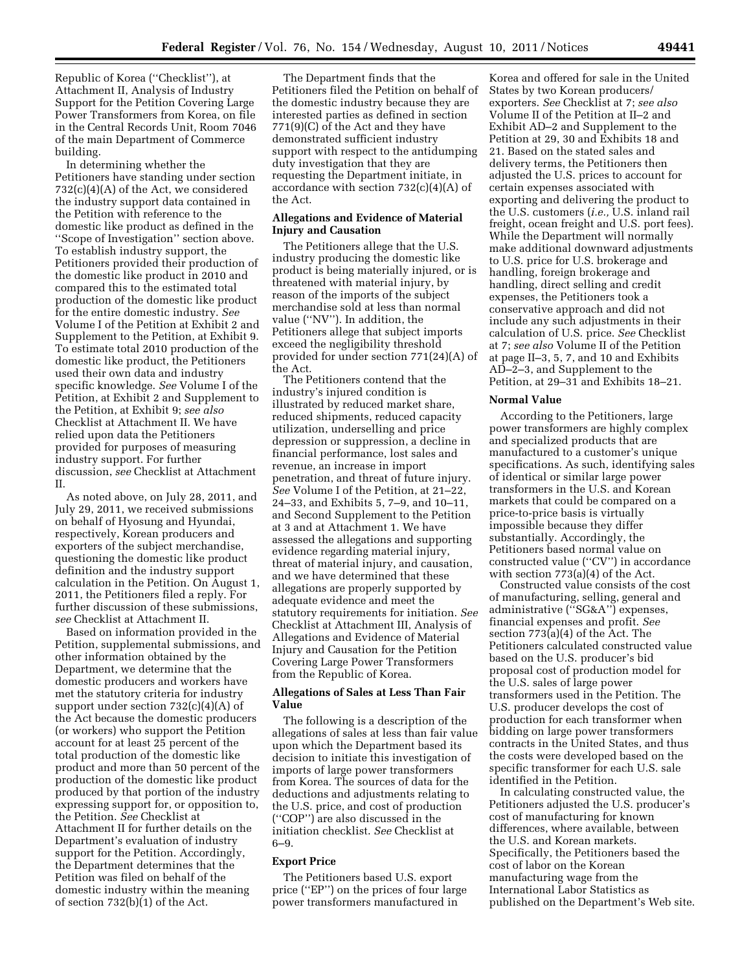Republic of Korea (''Checklist''), at Attachment II, Analysis of Industry Support for the Petition Covering Large Power Transformers from Korea, on file in the Central Records Unit, Room 7046 of the main Department of Commerce building.

In determining whether the Petitioners have standing under section 732(c)(4)(A) of the Act, we considered the industry support data contained in the Petition with reference to the domestic like product as defined in the ''Scope of Investigation'' section above. To establish industry support, the Petitioners provided their production of the domestic like product in 2010 and compared this to the estimated total production of the domestic like product for the entire domestic industry. *See*  Volume I of the Petition at Exhibit 2 and Supplement to the Petition, at Exhibit 9. To estimate total 2010 production of the domestic like product, the Petitioners used their own data and industry specific knowledge. *See* Volume I of the Petition, at Exhibit 2 and Supplement to the Petition, at Exhibit 9; *see also*  Checklist at Attachment II. We have relied upon data the Petitioners provided for purposes of measuring industry support. For further discussion, *see* Checklist at Attachment II.

As noted above, on July 28, 2011, and July 29, 2011, we received submissions on behalf of Hyosung and Hyundai, respectively, Korean producers and exporters of the subject merchandise, questioning the domestic like product definition and the industry support calculation in the Petition. On August 1, 2011, the Petitioners filed a reply. For further discussion of these submissions, *see* Checklist at Attachment II.

Based on information provided in the Petition, supplemental submissions, and other information obtained by the Department, we determine that the domestic producers and workers have met the statutory criteria for industry support under section 732(c)(4)(A) of the Act because the domestic producers (or workers) who support the Petition account for at least 25 percent of the total production of the domestic like product and more than 50 percent of the production of the domestic like product produced by that portion of the industry expressing support for, or opposition to, the Petition. *See* Checklist at Attachment II for further details on the Department's evaluation of industry support for the Petition. Accordingly, the Department determines that the Petition was filed on behalf of the domestic industry within the meaning of section 732(b)(1) of the Act.

The Department finds that the Petitioners filed the Petition on behalf of the domestic industry because they are interested parties as defined in section 771(9)(C) of the Act and they have demonstrated sufficient industry support with respect to the antidumping duty investigation that they are requesting the Department initiate, in accordance with section  $732(c)(4)(A)$  of the Act.

## **Allegations and Evidence of Material Injury and Causation**

The Petitioners allege that the U.S. industry producing the domestic like product is being materially injured, or is threatened with material injury, by reason of the imports of the subject merchandise sold at less than normal value (''NV''). In addition, the Petitioners allege that subject imports exceed the negligibility threshold provided for under section 771(24)(A) of the Act.

The Petitioners contend that the industry's injured condition is illustrated by reduced market share, reduced shipments, reduced capacity utilization, underselling and price depression or suppression, a decline in financial performance, lost sales and revenue, an increase in import penetration, and threat of future injury. *See* Volume I of the Petition, at 21–22, 24–33, and Exhibits 5, 7–9, and 10–11, and Second Supplement to the Petition at 3 and at Attachment 1. We have assessed the allegations and supporting evidence regarding material injury, threat of material injury, and causation, and we have determined that these allegations are properly supported by adequate evidence and meet the statutory requirements for initiation. *See*  Checklist at Attachment III, Analysis of Allegations and Evidence of Material Injury and Causation for the Petition Covering Large Power Transformers from the Republic of Korea.

## **Allegations of Sales at Less Than Fair Value**

The following is a description of the allegations of sales at less than fair value upon which the Department based its decision to initiate this investigation of imports of large power transformers from Korea. The sources of data for the deductions and adjustments relating to the U.S. price, and cost of production (''COP'') are also discussed in the initiation checklist. *See* Checklist at 6–9.

# **Export Price**

The Petitioners based U.S. export price (''EP'') on the prices of four large power transformers manufactured in

Korea and offered for sale in the United States by two Korean producers/ exporters. *See* Checklist at 7; *see also*  Volume II of the Petition at II–2 and Exhibit AD–2 and Supplement to the Petition at 29, 30 and Exhibits 18 and 21. Based on the stated sales and delivery terms, the Petitioners then adjusted the U.S. prices to account for certain expenses associated with exporting and delivering the product to the U.S. customers (*i.e.,* U.S. inland rail freight, ocean freight and U.S. port fees). While the Department will normally make additional downward adjustments to U.S. price for U.S. brokerage and handling, foreign brokerage and handling, direct selling and credit expenses, the Petitioners took a conservative approach and did not include any such adjustments in their calculation of U.S. price. *See* Checklist at 7; *see also* Volume II of the Petition at page II–3, 5, 7, and 10 and Exhibits AD–2–3, and Supplement to the Petition, at 29–31 and Exhibits 18–21.

#### **Normal Value**

According to the Petitioners, large power transformers are highly complex and specialized products that are manufactured to a customer's unique specifications. As such, identifying sales of identical or similar large power transformers in the U.S. and Korean markets that could be compared on a price-to-price basis is virtually impossible because they differ substantially. Accordingly, the Petitioners based normal value on constructed value (''CV'') in accordance with section 773(a)(4) of the Act.

Constructed value consists of the cost of manufacturing, selling, general and administrative (''SG&A'') expenses, financial expenses and profit. *See*  section 773(a)(4) of the Act. The Petitioners calculated constructed value based on the U.S. producer's bid proposal cost of production model for the U.S. sales of large power transformers used in the Petition. The U.S. producer develops the cost of production for each transformer when bidding on large power transformers contracts in the United States, and thus the costs were developed based on the specific transformer for each U.S. sale identified in the Petition.

In calculating constructed value, the Petitioners adjusted the U.S. producer's cost of manufacturing for known differences, where available, between the U.S. and Korean markets. Specifically, the Petitioners based the cost of labor on the Korean manufacturing wage from the International Labor Statistics as published on the Department's Web site.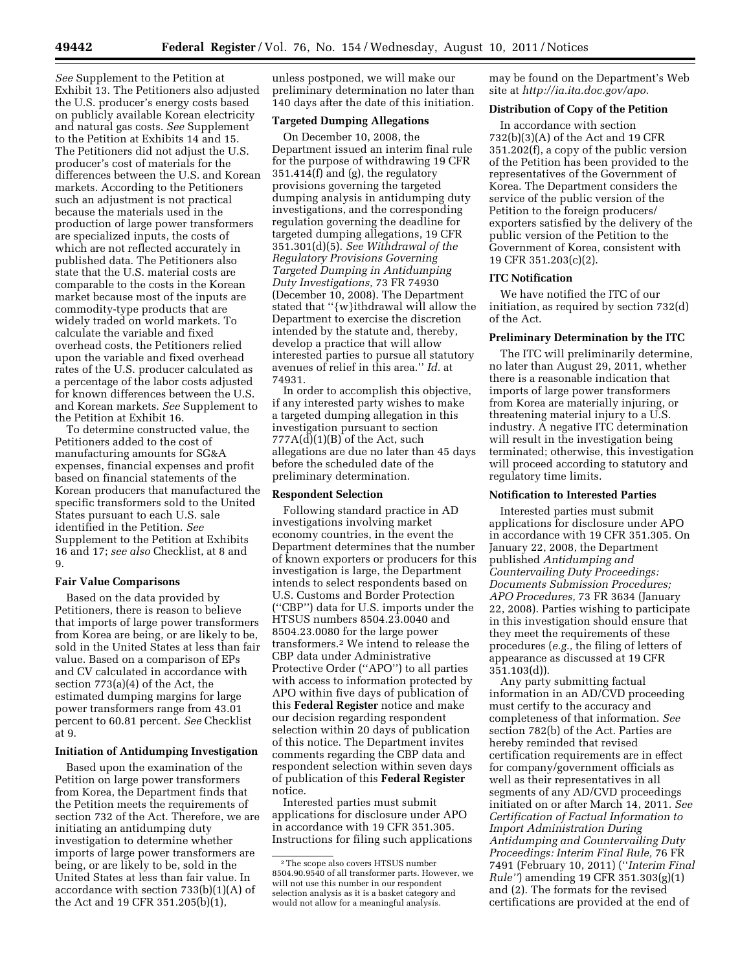*See* Supplement to the Petition at Exhibit 13. The Petitioners also adjusted the U.S. producer's energy costs based on publicly available Korean electricity and natural gas costs. *See* Supplement to the Petition at Exhibits 14 and 15. The Petitioners did not adjust the U.S. producer's cost of materials for the differences between the U.S. and Korean markets. According to the Petitioners such an adjustment is not practical because the materials used in the production of large power transformers are specialized inputs, the costs of which are not reflected accurately in published data. The Petitioners also state that the U.S. material costs are comparable to the costs in the Korean market because most of the inputs are commodity-type products that are widely traded on world markets. To calculate the variable and fixed overhead costs, the Petitioners relied upon the variable and fixed overhead rates of the U.S. producer calculated as a percentage of the labor costs adjusted for known differences between the U.S. and Korean markets. *See* Supplement to the Petition at Exhibit 16.

To determine constructed value, the Petitioners added to the cost of manufacturing amounts for SG&A expenses, financial expenses and profit based on financial statements of the Korean producers that manufactured the specific transformers sold to the United States pursuant to each U.S. sale identified in the Petition. *See*  Supplement to the Petition at Exhibits 16 and 17; *see also* Checklist, at 8 and 9.

#### **Fair Value Comparisons**

Based on the data provided by Petitioners, there is reason to believe that imports of large power transformers from Korea are being, or are likely to be, sold in the United States at less than fair value. Based on a comparison of EPs and CV calculated in accordance with section 773(a)(4) of the Act, the estimated dumping margins for large power transformers range from 43.01 percent to 60.81 percent. *See* Checklist at 9.

# **Initiation of Antidumping Investigation**

Based upon the examination of the Petition on large power transformers from Korea, the Department finds that the Petition meets the requirements of section 732 of the Act. Therefore, we are initiating an antidumping duty investigation to determine whether imports of large power transformers are being, or are likely to be, sold in the United States at less than fair value. In accordance with section 733(b)(1)(A) of the Act and 19 CFR 351.205(b)(1),

unless postponed, we will make our preliminary determination no later than 140 days after the date of this initiation.

## **Targeted Dumping Allegations**

On December 10, 2008, the Department issued an interim final rule for the purpose of withdrawing 19 CFR 351.414(f) and (g), the regulatory provisions governing the targeted dumping analysis in antidumping duty investigations, and the corresponding regulation governing the deadline for targeted dumping allegations, 19 CFR 351.301(d)(5). *See Withdrawal of the Regulatory Provisions Governing Targeted Dumping in Antidumping Duty Investigations,* 73 FR 74930 (December 10, 2008). The Department stated that ''{w}ithdrawal will allow the Department to exercise the discretion intended by the statute and, thereby, develop a practice that will allow interested parties to pursue all statutory avenues of relief in this area.'' *Id.* at 74931.

In order to accomplish this objective, if any interested party wishes to make a targeted dumping allegation in this investigation pursuant to section  $777A(d)(1)(B)$  of the Act, such allegations are due no later than 45 days before the scheduled date of the preliminary determination.

#### **Respondent Selection**

Following standard practice in AD investigations involving market economy countries, in the event the Department determines that the number of known exporters or producers for this investigation is large, the Department intends to select respondents based on U.S. Customs and Border Protection (''CBP'') data for U.S. imports under the HTSUS numbers 8504.23.0040 and 8504.23.0080 for the large power transformers.2 We intend to release the CBP data under Administrative Protective Order (''APO'') to all parties with access to information protected by APO within five days of publication of this **Federal Register** notice and make our decision regarding respondent selection within 20 days of publication of this notice. The Department invites comments regarding the CBP data and respondent selection within seven days of publication of this **Federal Register**  notice.

Interested parties must submit applications for disclosure under APO in accordance with 19 CFR 351.305. Instructions for filing such applications

may be found on the Department's Web site at *http://ia.ita.doc.gov/apo*.

#### **Distribution of Copy of the Petition**

In accordance with section 732(b)(3)(A) of the Act and 19 CFR 351.202(f), a copy of the public version of the Petition has been provided to the representatives of the Government of Korea. The Department considers the service of the public version of the Petition to the foreign producers/ exporters satisfied by the delivery of the public version of the Petition to the Government of Korea, consistent with 19 CFR 351.203(c)(2).

# **ITC Notification**

We have notified the ITC of our initiation, as required by section 732(d) of the Act.

## **Preliminary Determination by the ITC**

The ITC will preliminarily determine, no later than August 29, 2011, whether there is a reasonable indication that imports of large power transformers from Korea are materially injuring, or threatening material injury to a U.S. industry. A negative ITC determination will result in the investigation being terminated; otherwise, this investigation will proceed according to statutory and regulatory time limits.

## **Notification to Interested Parties**

Interested parties must submit applications for disclosure under APO in accordance with 19 CFR 351.305. On January 22, 2008, the Department published *Antidumping and Countervailing Duty Proceedings: Documents Submission Procedures; APO Procedures,* 73 FR 3634 (January 22, 2008). Parties wishing to participate in this investigation should ensure that they meet the requirements of these procedures (*e.g.,* the filing of letters of appearance as discussed at 19 CFR 351.103(d)).

Any party submitting factual information in an AD/CVD proceeding must certify to the accuracy and completeness of that information. *See*  section 782(b) of the Act. Parties are hereby reminded that revised certification requirements are in effect for company/government officials as well as their representatives in all segments of any AD/CVD proceedings initiated on or after March 14, 2011. *See Certification of Factual Information to Import Administration During Antidumping and Countervailing Duty Proceedings: Interim Final Rule,* 76 FR 7491 (February 10, 2011) (''*Interim Final Rule''*) amending 19 CFR 351.303(g)(1) and (2). The formats for the revised certifications are provided at the end of

<sup>2</sup>The scope also covers HTSUS number 8504.90.9540 of all transformer parts. However, we will not use this number in our respondent selection analysis as it is a basket category and would not allow for a meaningful analysis.